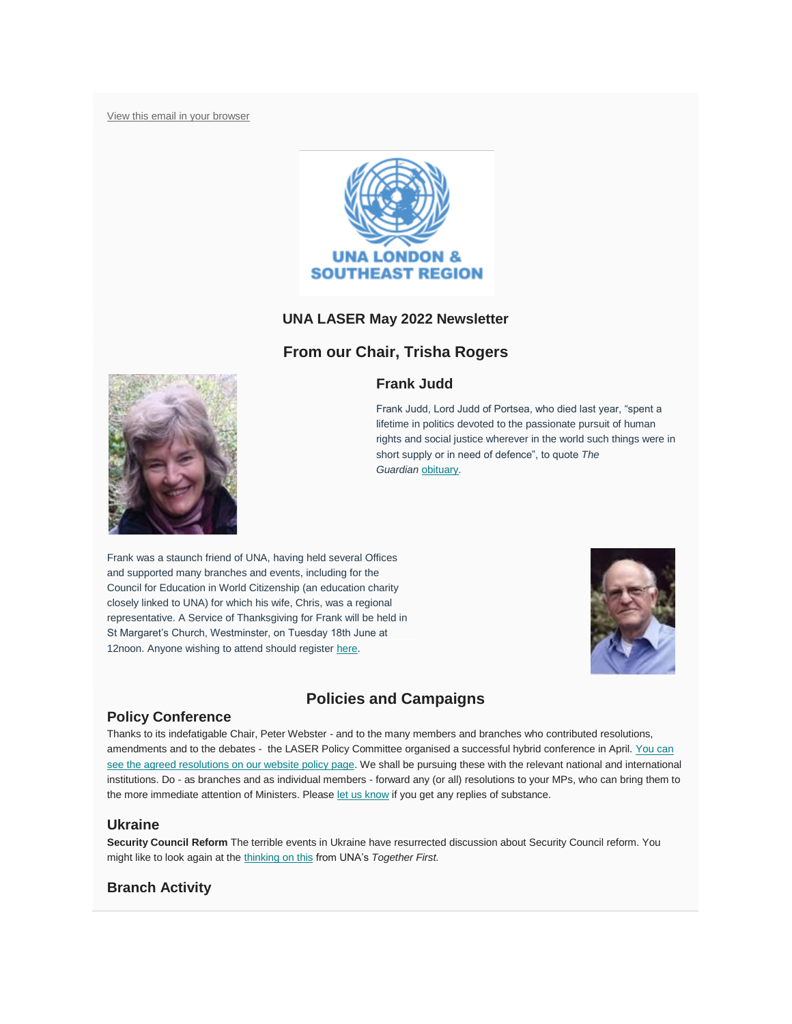[View this email in your browser](https://mailchi.mp/210a47026409/laser-newsletter-november-20157353?e=c045d40d00)



### **UNA LASER May 2022 Newsletter**

## **From our Chair, Trisha Rogers**

### **Frank Judd**



Frank was a staunch friend of UNA, having held several Offices and supported many branches and events, including for the Council for Education in World Citizenship (an education charity closely linked to UNA) for which his wife, Chris, was a regional representative. A Service of Thanksgiving for Frank will be held in St Margaret's Church, Westminster, on Tuesday 18th June at 12noon. Anyone wishing to attend should register [here.](https://www.eventbrite.co.uk/e/a-service-of-thanksgiving-for-the-life-and-work-of-lord-judd-of-portsea-tickets-304777195797)



# **Policies and Campaigns**

### **Policy Conference**

Thanks to its indefatigable Chair, Peter Webster - and to the many members and branches who contributed resolutions, amendments and to the debates - the LASER Policy Committee organised a successful hybrid conference in April. You can [see the agreed resolutions on our website policy page.](https://unalaser.org/our-current-resolutions) We shall be pursuing these with the relevant national and international institutions. Do - as branches and as individual members - forward any (or all) resolutions to your MPs, who can bring them to the more immediate attention of Ministers. Please [let us know](mailto:webster.home@btinternet.com) if you get any replies of substance.

### **Ukraine**

**Security Council Reform** The terrible events in Ukraine have resurrected discussion about Security Council reform. You might like to look again at the [thinking on this](https://una.org.uk/sites/default/files/0008499_TFR_UN_FINAL.pdf) from UNA's *Together First.*

## **Branch Activity**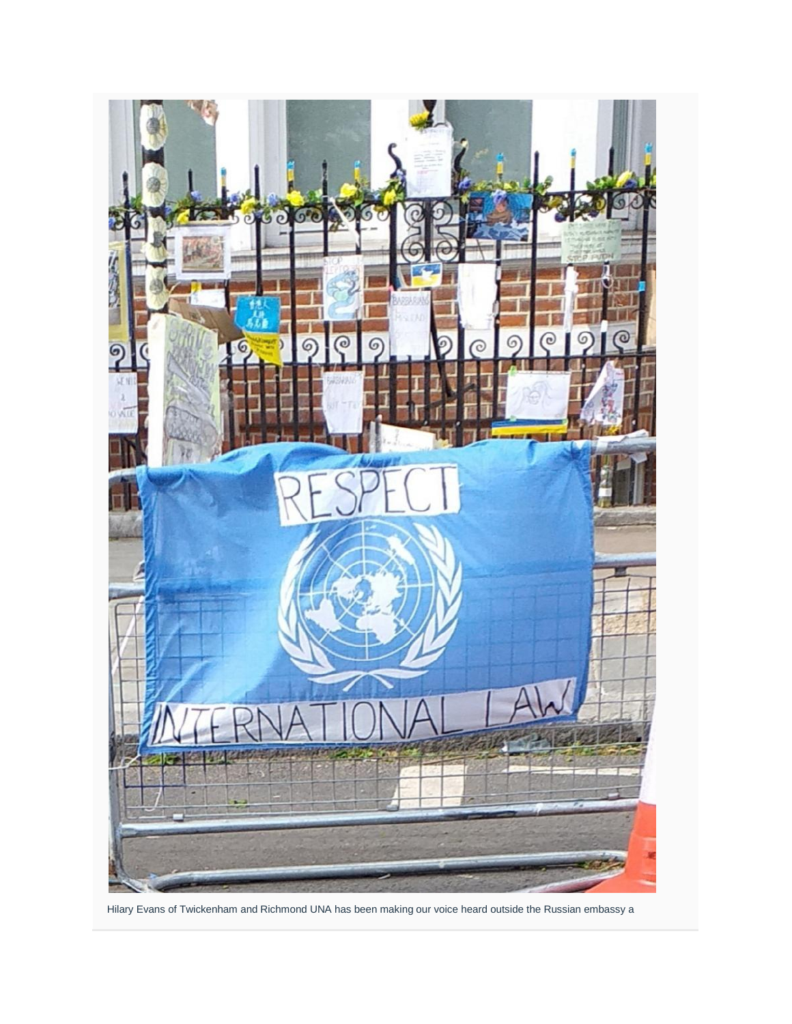

Hilary Evans of Twickenham and Richmond UNA has been making our voice heard outside the Russian embassy a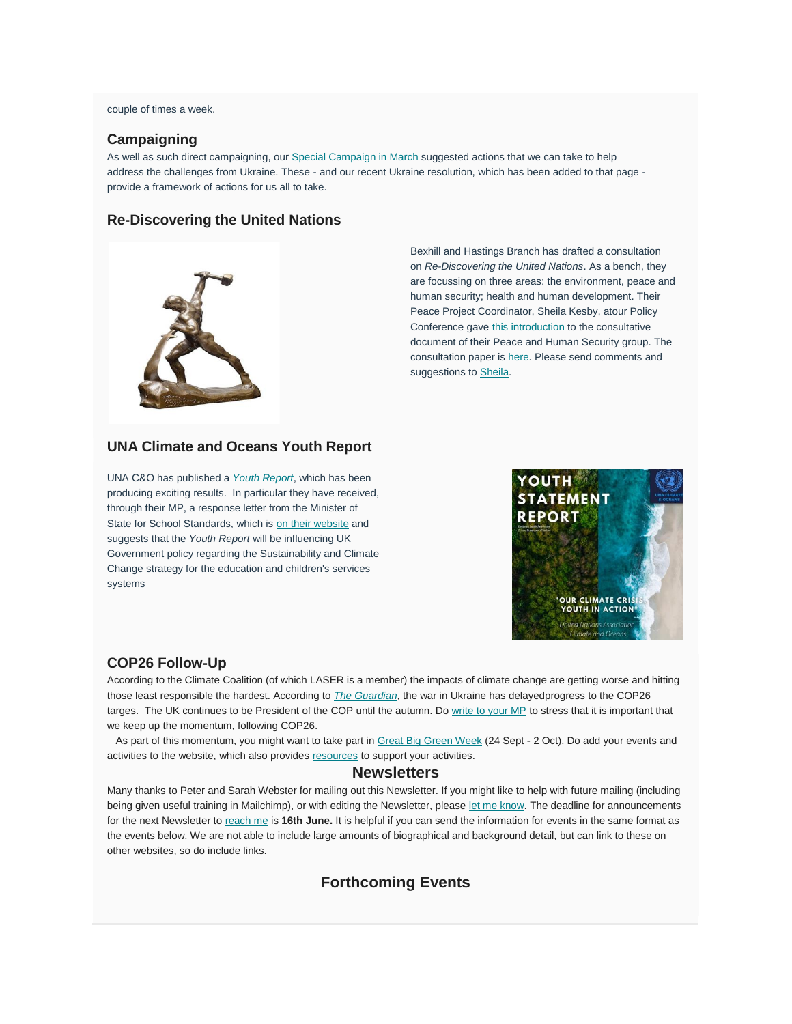#### couple of times a week.

#### **Campaigning**

As well as such direct campaigning, our [Special Campaign in March](https://unalaser.org/una-laser-special-campaign-alert-the-russian-invasion-of-ukraine) suggested actions that we can take to help address the challenges from Ukraine. These - and our recent Ukraine resolution, which has been added to that page provide a framework of actions for us all to take.

#### **Re-Discovering the United Nations**



Bexhill and Hastings Branch has drafted a consultation on *Re-Discovering the United Nations*. As a bench, they are focussing on three areas: the environment, peace and human security; health and human development. Their Peace Project Coordinator, Sheila Kesby, atour Policy Conference gave [this introduction](https://unalaser.org/wp-content/uploads/2022/05/220423-Sheila-intro-to-ReDiscovering-the-UN-paper.pdf) to the consultative document of their Peace and Human Security group. The consultation paper is [here.](https://unalaser.org/wp-content/uploads/2022/05/220423-Re-Discovering-the-UN-consultation-paper.pdf) Please send comments and suggestions to [Sheila.](mailto:s.kesby339@btinternet.com)

### **UNA Climate and Oceans Youth Report**

UNA C&O has published a *[Youth Report](https://drive.google.com/file/d/11U7xljZuRBDYtL1Mt5dhRyrdnL615Us0/view)*, which has been producing exciting results. In particular they have received, through their MP, a response letter from the Minister of State for School Standards, which is [on their website](https://www.una-climateandoceans.org/452190933) and suggests that the *Youth Report* will be influencing UK Government policy regarding the Sustainability and Climate Change strategy for the education and children's services systems



#### **COP26 Follow-Up**

According to the Climate Coalition (of which LASER is a member) the impacts of climate change are getting worse and hitting those least responsible the hardest. According to *[The Guardian](https://www.theguardian.com/environment/2022/may/14/cash-coal-cars-and-trees-what-progress-has-been-made-since-cop26)*, the war in Ukraine has delayedprogress to the COP26 targes. The UK continues to be President of the COP until the autumn. Do [write to your MP](https://www.theclimatecoalition.org/show-the-love/green-heart-mp-action?utm_term=0_5d9d4008a3-f6bbf2f448-44278650) to stress that it is important that we keep up the momentum, following COP26.

As part of this momentum, you might want to take part in [Great Big Green Week](https://theclimatecoalition.us7.list-manage.com/track/click?u=e71f91445b512de23a42499e6&id=2cec3caa52&e=bf3426e63b) (24 Sept - 2 Oct). Do add your events and activities to the website, which also provides [resources](https://theclimatecoalition.us7.list-manage.com/track/click?u=e71f91445b512de23a42499e6&id=7d93cc166d&e=bf3426e63b) to support your activities.

#### **Newsletters**

Many thanks to Peter and Sarah Webster for mailing out this Newsletter. If you might like to help with future mailing (including being given useful training in Mailchimp), or with editing the Newsletter, please [let me know.](mailto:contact@unalaser.org) The deadline for announcements for the next Newsletter to [reach me](mailto:contact@unalaser.org) is **16th June.** It is helpful if you can send the information for events in the same format as the events below. We are not able to include large amounts of biographical and background detail, but can link to these on other websites, so do include links.

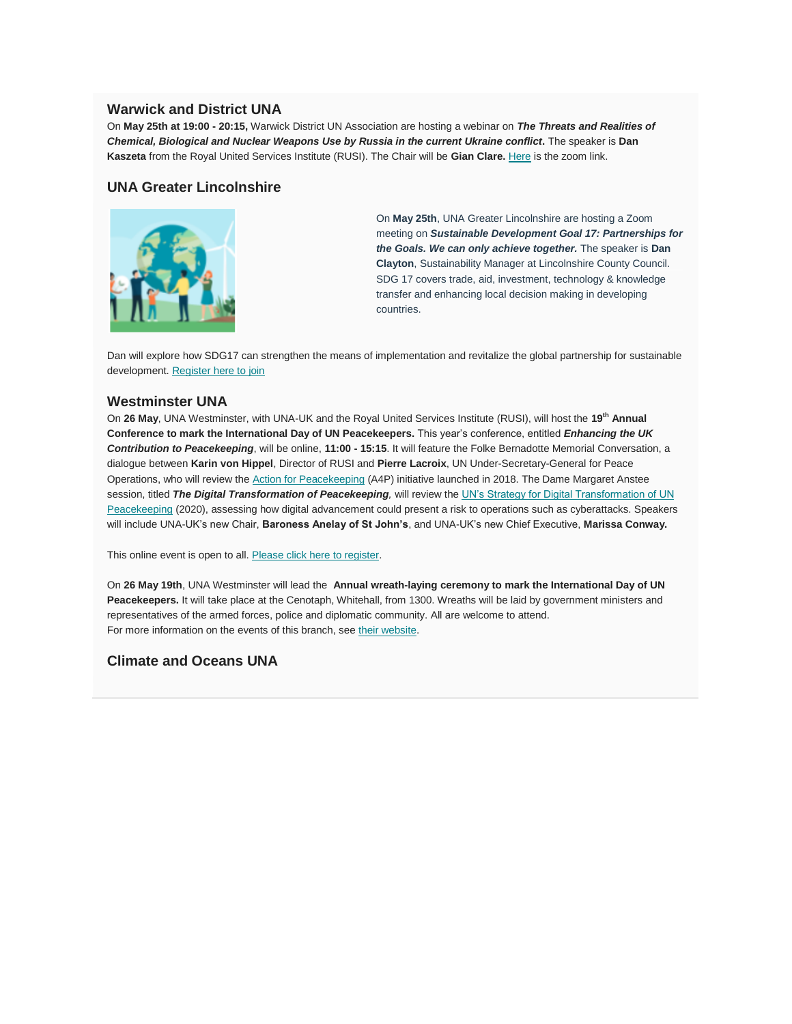### **Warwick and District UNA**

On **May 25th at 19:00 - 20:15,** Warwick District UN Association are hosting a webinar on *The Threats and Realities of Chemical, Biological and Nuclear Weapons Use by Russia in the current Ukraine conflict***.** The speaker is **Dan Kaszeta** from the Royal United Services Institute (RUSI). The Chair will be **Gian Clare.** [Here](https://us02web.zoom.us/j/89975211722?pwd=SDBZOXR5V05xdS9EWDFsWnFWbW5sdz09) is the zoom link.

### **UNA Greater Lincolnshire**



On **May 25th**, UNA Greater Lincolnshire are hosting a Zoom meeting on *Sustainable Development Goal 17: Partnerships for the Goals. We can only achieve together.* The speaker is **Dan Clayton**, Sustainability Manager at Lincolnshire County Council. SDG 17 covers trade, aid, investment, technology & knowledge transfer and enhancing local decision making in developing countries.

Dan will explore how SDG17 can strengthen the means of implementation and revitalize the global partnership for sustainable development. [Register here to join](https://www.eventbrite.co.uk/e/una-gl-online-seminar-sdg-goal-17-partnership-for-the-goals-tickets-335833475967?utm_campaign=post_publish&utm_medium=email&utm_source=eventbrite&utm_content=shortLinkNewEmail)

### **Westminster UNA**

On **26 May**, UNA Westminster, with UNA-UK and the Royal United Services Institute (RUSI), will host the **19th Annual Conference to mark the International Day of UN Peacekeepers.** This year's conference, entitled *Enhancing the UK Contribution to Peacekeeping*, will be online, **11:00 - 15:15**. It will feature the Folke Bernadotte Memorial Conversation, a dialogue between **Karin von Hippel**, Director of RUSI and **Pierre Lacroix**, UN Under-Secretary-General for Peace Operations, who will review the [Action for Peacekeeping](https://peacekeeping.un.org/sites/default/files/a4p-declaration-en.pdf) (A4P) initiative launched in 2018. The Dame Margaret Anstee session, titled *The Digital Transformation of Peacekeeping*, will review the UN's Strategy for Digital Transformation of UN [Peacekeeping](https://peacekeeping.un.org/en/strategy-digital-transformation-of-un-peacekeeping) (2020), assessing how digital advancement could present a risk to operations such as cyberattacks. Speakers will include UNA-UK's new Chair, **Baroness Anelay of St John's**, and UNA-UK's new Chief Executive, **Marissa Conway.**

This online event is open to all. [Please click here to register.](https://www.rusi.org/events/conferences/international-day-un-peacekeepers-conference-2022)

On **26 May 19th**, UNA Westminster will lead the **Annual wreath-laying ceremony to mark the International Day of UN Peacekeepers.** It will take place at the Cenotaph, Whitehall, from 1300. Wreaths will be laid by government ministers and representatives of the armed forces, police and diplomatic community. All are welcome to attend. For more information on the events of this branch, see [their website.](http://www.unawestminster.org.uk/future_events.html)

### **Climate and Oceans UNA**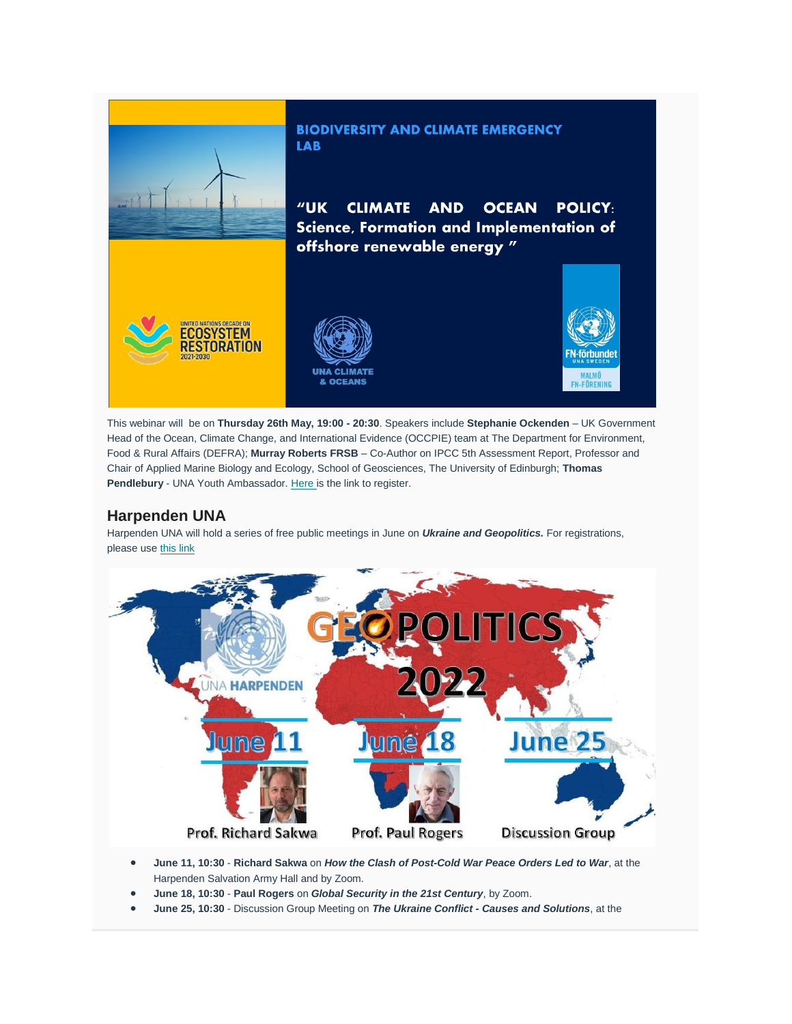

This webinar will be on **Thursday 26th May, 19:00 - 20:30**. Speakers include **Stephanie Ockenden** – UK Government Head of the Ocean, Climate Change, and International Evidence (OCCPIE) team at The Department for Environment, Food & Rural Affairs (DEFRA); **Murray Roberts FRSB** – Co-Author on IPCC 5th Assessment Report, Professor and Chair of Applied Marine Biology and Ecology, School of Geosciences, The University of Edinburgh; **Thomas**  Pendlebury - UNA Youth Ambassador. [Here](https://www.eventbrite.co.uk/e/uk-government-climate-ocean-policy-science-formation-implementation-tickets-336762574927?utm_campaign=post_publish&utm_medium=email&utm_source=eventbrite&utm_content=shortLinkNewEmail) is the link to register.

## **Harpenden UNA**

Harpenden UNA will hold a series of free public meetings in June on *Ukraine and Geopolitics.* For registrations, please use [this link](https://ukraine-geopolitics.eventbrite.co.uk/)



- **June 11, 10:30 Richard Sakwa** on *How the Clash of Post-Cold War Peace Orders Led to War*, at the Harpenden Salvation Army Hall and by Zoom.
- **June 18, 10:30 Paul Rogers** on *Global Security in the 21st Century*, by Zoom.
- **June 25, 10:30** Discussion Group Meeting on *The Ukraine Conflict - Causes and Solutions*, at the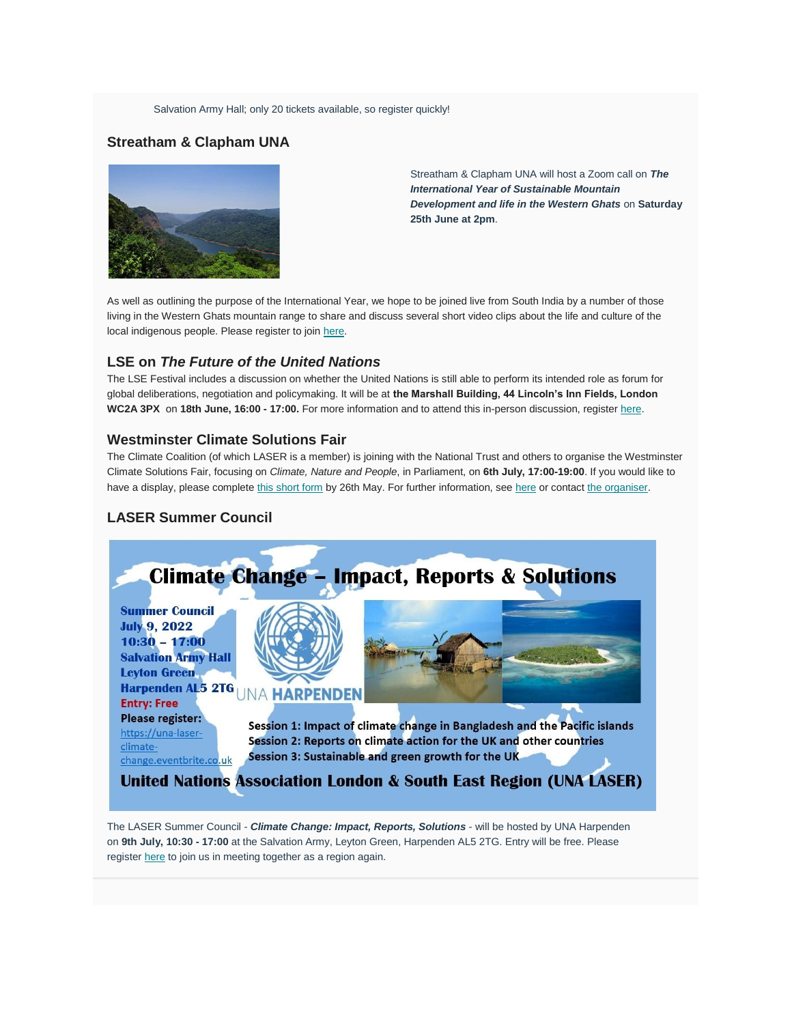Salvation Army Hall; only 20 tickets available, so register quickly!

## **Streatham & Clapham UNA**



Streatham & Clapham UNA will host a Zoom call on *The International Year of Sustainable Mountain Development and life in the Western Ghats* on **Saturday 25th June at 2pm**.

As well as outlining the purpose of the International Year, we hope to be joined live from South India by a number of those living in the Western Ghats mountain range to share and discuss several short video clips about the life and culture of the local indigenous people. Please register to join [here.](https://us02web.zoom.us/meeting/register/tZwucOiprzgrHNNtX-K2w4sDAxGhIJl4kwWO)

### **LSE on** *The Future of the United Nations*

The LSE Festival includes a discussion on whether the United Nations is still able to perform its intended role as forum for global deliberations, negotiation and policymaking. It will be at **the Marshall Building, 44 Lincoln's Inn Fields, London WC2A 3PX** on **18th June, 16:00 - 17:00.** For more information and to attend this in-person discussion, register [here.](https://www.lse.ac.uk/Events/LSE-Festival/2022/events/0618/united-nations)

### **Westminster Climate Solutions Fair**

The Climate Coalition (of which LASER is a member) is joining with the National Trust and others to organise the Westminster Climate Solutions Fair, focusing on *Climate, Nature and People*, in Parliament, on **6th July, 17:00-19:00**. If you would like to have a display, please complete [this short form](https://docs.google.com/forms/d/e/1FAIpQLSfgfS1bUChvWLpTceh6pLUSsHMUcziau2LAXyRCsP4bV-f5EQ/viewform?usp=sf_link) by 26th May. For further information, see [here](https://docs.google.com/document/d/1P4EoJQGuubCkDFdoT0aQqhqNxrrfFt7qSUuxmJRho7A/edit) or contact [the organiser.](mailto:joel.silver@nationaltrust.org.uk)

## **LASER Summer Council**



The LASER Summer Council - *Climate Change: Impact, Reports, Solutions* - will be hosted by UNA Harpenden on **9th July, 10:30 - 17:00** at the Salvation Army, Leyton Green, Harpenden AL5 2TG. Entry will be free. Please register [here](https://www.eventbrite.com/e/summer-council-2022-on-climate-change-impact-reports-solutions-tickets-258811250417?utm_source=eventbrite&utm_medium=email&utm_campaign=post_publish&utm_content=shortLinkNewEmail) to join us in meeting together as a region again.